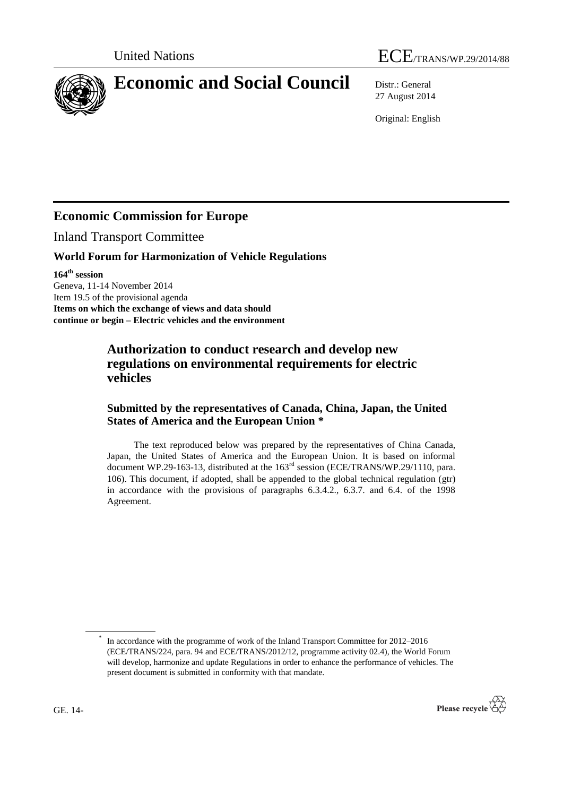



# **Economic and Social Council** Distr.: General

27 August 2014

Original: English

# **Economic Commission for Europe**

Inland Transport Committee

### **World Forum for Harmonization of Vehicle Regulations**

**164th session**

Geneva, 11-14 November 2014 Item 19.5 of the provisional agenda **Items on which the exchange of views and data should continue or begin – Electric vehicles and the environment**

# **Authorization to conduct research and develop new regulations on environmental requirements for electric vehicles**

# **Submitted by the representatives of Canada, China, Japan, the United States of America and the European Union \***

The text reproduced below was prepared by the representatives of China Canada, Japan, the United States of America and the European Union. It is based on informal document WP.29-163-13, distributed at the 163<sup>rd</sup> session (ECE/TRANS/WP.29/1110, para. 106). This document, if adopted, shall be appended to the global technical regulation (gtr) in accordance with the provisions of paragraphs 6.3.4.2., 6.3.7. and 6.4. of the 1998 Agreement.

<sup>\*</sup> In accordance with the programme of work of the Inland Transport Committee for 2012–2016 (ECE/TRANS/224, para. 94 and ECE/TRANS/2012/12, programme activity 02.4), the World Forum will develop, harmonize and update Regulations in order to enhance the performance of vehicles. The present document is submitted in conformity with that mandate.

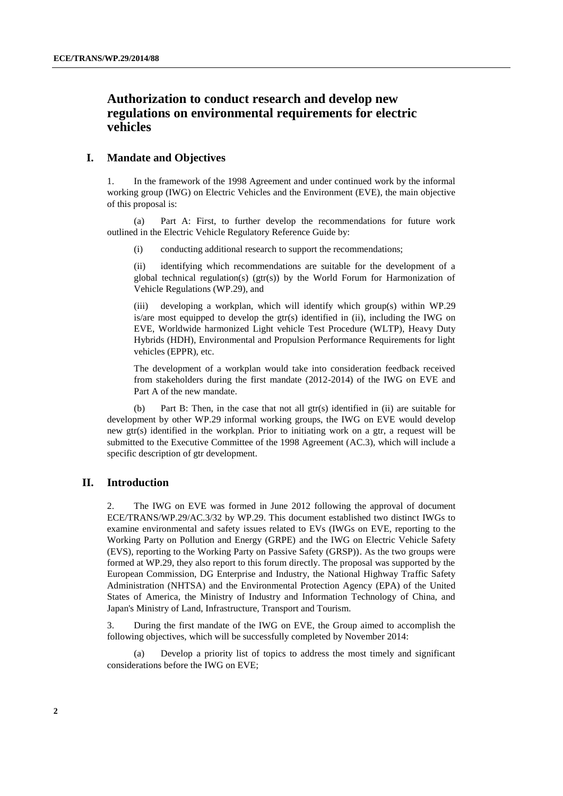# **Authorization to conduct research and develop new regulations on environmental requirements for electric vehicles**

#### **I. Mandate and Objectives**

1. In the framework of the 1998 Agreement and under continued work by the informal working group (IWG) on Electric Vehicles and the Environment (EVE), the main objective of this proposal is:

(a) Part A: First, to further develop the recommendations for future work outlined in the Electric Vehicle Regulatory Reference Guide by:

(i) conducting additional research to support the recommendations;

(ii) identifying which recommendations are suitable for the development of a global technical regulation(s) ( $gtr(s)$ ) by the World Forum for Harmonization of Vehicle Regulations (WP.29), and

(iii) developing a workplan, which will identify which group(s) within WP.29 is/are most equipped to develop the gtr(s) identified in (ii), including the IWG on EVE, Worldwide harmonized Light vehicle Test Procedure (WLTP), Heavy Duty Hybrids (HDH), Environmental and Propulsion Performance Requirements for light vehicles (EPPR), etc.

The development of a workplan would take into consideration feedback received from stakeholders during the first mandate (2012-2014) of the IWG on EVE and Part A of the new mandate.

(b) Part B: Then, in the case that not all gtr(s) identified in (ii) are suitable for development by other WP.29 informal working groups, the IWG on EVE would develop new gtr(s) identified in the workplan. Prior to initiating work on a gtr, a request will be submitted to the Executive Committee of the 1998 Agreement (AC.3), which will include a specific description of gtr development.

#### **II. Introduction**

2. The IWG on EVE was formed in June 2012 following the approval of document ECE/TRANS/WP.29/AC.3/32 by WP.29. This document established two distinct IWGs to examine environmental and safety issues related to EVs (IWGs on EVE, reporting to the Working Party on Pollution and Energy (GRPE) and the IWG on Electric Vehicle Safety (EVS), reporting to the Working Party on Passive Safety (GRSP)). As the two groups were formed at WP.29, they also report to this forum directly. The proposal was supported by the European Commission, DG Enterprise and Industry, the National Highway Traffic Safety Administration (NHTSA) and the Environmental Protection Agency (EPA) of the United States of America, the Ministry of Industry and Information Technology of China, and Japan's Ministry of Land, Infrastructure, Transport and Tourism.

3. During the first mandate of the IWG on EVE, the Group aimed to accomplish the following objectives, which will be successfully completed by November 2014:

(a) Develop a priority list of topics to address the most timely and significant considerations before the IWG on EVE;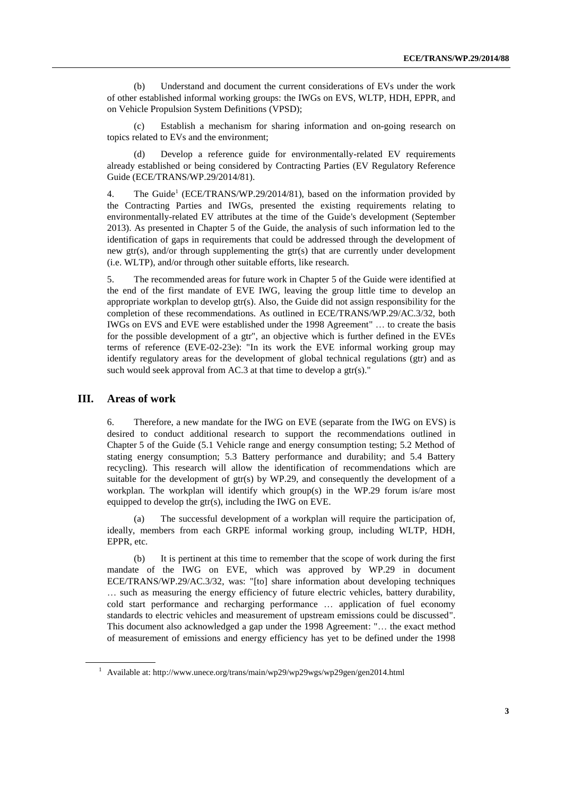(b) Understand and document the current considerations of EVs under the work of other established informal working groups: the IWGs on EVS, WLTP, HDH, EPPR, and on Vehicle Propulsion System Definitions (VPSD);

Establish a mechanism for sharing information and on-going research on topics related to EVs and the environment;

(d) Develop a reference guide for environmentally-related EV requirements already established or being considered by Contracting Parties (EV Regulatory Reference Guide (ECE/TRANS/WP.29/2014/81).

4. The Guide<sup>1</sup> (ECE/TRANS/WP.29/2014/81), based on the information provided by the Contracting Parties and IWGs, presented the existing requirements relating to environmentally-related EV attributes at the time of the Guide's development (September 2013). As presented in Chapter 5 of the Guide, the analysis of such information led to the identification of gaps in requirements that could be addressed through the development of new gtr(s), and/or through supplementing the gtr(s) that are currently under development (i.e. WLTP), and/or through other suitable efforts, like research.

5. The recommended areas for future work in Chapter 5 of the Guide were identified at the end of the first mandate of EVE IWG, leaving the group little time to develop an appropriate workplan to develop  $gr(s)$ . Also, the Guide did not assign responsibility for the completion of these recommendations. As outlined in ECE/TRANS/WP.29/AC.3/32, both IWGs on EVS and EVE were established under the 1998 Agreement" … to create the basis for the possible development of a gtr", an objective which is further defined in the EVEs terms of reference (EVE-02-23e): "In its work the EVE informal working group may identify regulatory areas for the development of global technical regulations (gtr) and as such would seek approval from AC.3 at that time to develop a gtr(s)."

#### **III. Areas of work**

6. Therefore, a new mandate for the IWG on EVE (separate from the IWG on EVS) is desired to conduct additional research to support the recommendations outlined in Chapter 5 of the Guide (5.1 Vehicle range and energy consumption testing; 5.2 Method of stating energy consumption; 5.3 Battery performance and durability; and 5.4 Battery recycling). This research will allow the identification of recommendations which are suitable for the development of  $gr(s)$  by WP.29, and consequently the development of a workplan. The workplan will identify which group(s) in the WP.29 forum is/are most equipped to develop the gtr(s), including the IWG on EVE.

(a) The successful development of a workplan will require the participation of, ideally, members from each GRPE informal working group, including WLTP, HDH, EPPR, etc.

(b) It is pertinent at this time to remember that the scope of work during the first mandate of the IWG on EVE, which was approved by WP.29 in document ECE/TRANS/WP.29/AC.3/32, was: "[to] share information about developing techniques … such as measuring the energy efficiency of future electric vehicles, battery durability, cold start performance and recharging performance … application of fuel economy standards to electric vehicles and measurement of upstream emissions could be discussed". This document also acknowledged a gap under the 1998 Agreement: "… the exact method of measurement of emissions and energy efficiency has yet to be defined under the 1998

<sup>1</sup> Available at: http://www.unece.org/trans/main/wp29/wp29wgs/wp29gen/gen2014.html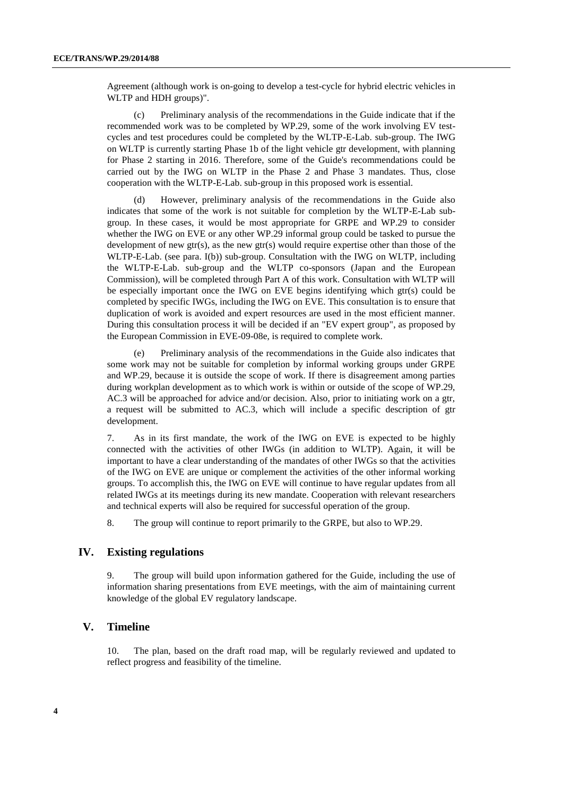Agreement (although work is on-going to develop a test-cycle for hybrid electric vehicles in WLTP and HDH groups)".

(c) Preliminary analysis of the recommendations in the Guide indicate that if the recommended work was to be completed by WP.29, some of the work involving EV testcycles and test procedures could be completed by the WLTP-E-Lab. sub-group. The IWG on WLTP is currently starting Phase 1b of the light vehicle gtr development, with planning for Phase 2 starting in 2016. Therefore, some of the Guide's recommendations could be carried out by the IWG on WLTP in the Phase 2 and Phase 3 mandates. Thus, close cooperation with the WLTP-E-Lab. sub-group in this proposed work is essential.

(d) However, preliminary analysis of the recommendations in the Guide also indicates that some of the work is not suitable for completion by the WLTP-E-Lab subgroup. In these cases, it would be most appropriate for GRPE and WP.29 to consider whether the IWG on EVE or any other WP.29 informal group could be tasked to pursue the development of new gtr(s), as the new gtr(s) would require expertise other than those of the WLTP-E-Lab. (see para. I(b)) sub-group. Consultation with the IWG on WLTP, including the WLTP-E-Lab. sub-group and the WLTP co-sponsors (Japan and the European Commission), will be completed through Part A of this work. Consultation with WLTP will be especially important once the IWG on EVE begins identifying which gtr(s) could be completed by specific IWGs, including the IWG on EVE. This consultation is to ensure that duplication of work is avoided and expert resources are used in the most efficient manner. During this consultation process it will be decided if an "EV expert group", as proposed by the European Commission in EVE-09-08e, is required to complete work.

(e) Preliminary analysis of the recommendations in the Guide also indicates that some work may not be suitable for completion by informal working groups under GRPE and WP.29, because it is outside the scope of work. If there is disagreement among parties during workplan development as to which work is within or outside of the scope of WP.29, AC.3 will be approached for advice and/or decision. Also, prior to initiating work on a gtr, a request will be submitted to AC.3, which will include a specific description of gtr development.

7. As in its first mandate, the work of the IWG on EVE is expected to be highly connected with the activities of other IWGs (in addition to WLTP). Again, it will be important to have a clear understanding of the mandates of other IWGs so that the activities of the IWG on EVE are unique or complement the activities of the other informal working groups. To accomplish this, the IWG on EVE will continue to have regular updates from all related IWGs at its meetings during its new mandate. Cooperation with relevant researchers and technical experts will also be required for successful operation of the group.

8. The group will continue to report primarily to the GRPE, but also to WP.29.

#### **IV. Existing regulations**

9. The group will build upon information gathered for the Guide, including the use of information sharing presentations from EVE meetings, with the aim of maintaining current knowledge of the global EV regulatory landscape.

#### **V. Timeline**

10. The plan, based on the draft road map, will be regularly reviewed and updated to reflect progress and feasibility of the timeline.